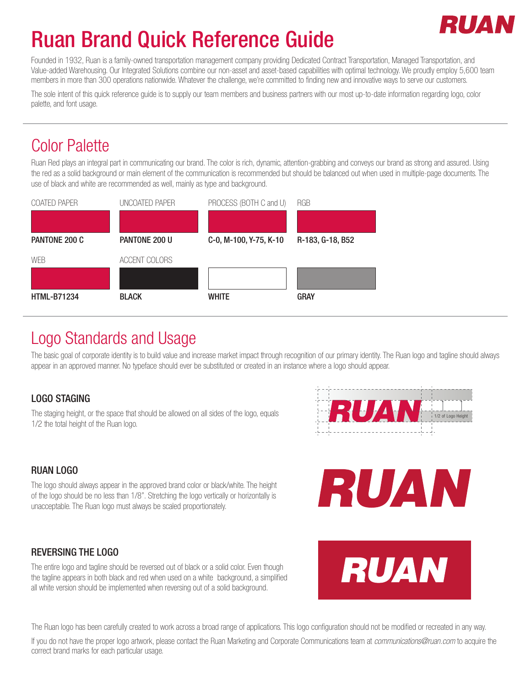# RII AT

# Ruan Brand Quick Reference Guide

Founded in 1932, Ruan is a family-owned transportation management company providing Dedicated Contract Transportation, Managed Transportation, and Value-added Warehousing. Our Integrated Solutions combine our non-asset and asset-based capabilities with optimal technology. We proudly employ 5,600 team members in more than 300 operations nationwide. Whatever the challenge, we're committed to finding new and innovative ways to serve our customers.

The sole intent of this quick reference guide is to supply our team members and business partners with our most up-to-date information regarding logo, color palette, and font usage.

## Color Palette

Ruan Red plays an integral part in communicating our brand. The color is rich, dynamic, attention-grabbing and conveys our brand as strong and assured. Using the red as a solid background or main element of the communication is recommended but should be balanced out when used in multiple-page documents. The use of black and white are recommended as well, mainly as type and background.



### Logo Standards and Usage

The basic goal of corporate identity is to build value and increase market impact through recognition of our primary identity. The Ruan logo and tagline should always appear in an approved manner. No typeface should ever be substituted or created in an instance where a logo should appear.

#### LOGO STAGING

The staging height, or the space that should be allowed on all sides of the logo, equals 1/2 the total height of the Ruan logo.



### RUAN LOGO

The logo should always appear in the approved brand color or black/white. The height of the logo should be no less than 1/8". Stretching the logo vertically or horizontally is unacceptable. The Ruan logo must always be scaled proportionately.

### REVERSING THE LOGO

The entire logo and tagline should be reversed out of black or a solid color. Even though the tagline appears in both black and red when used on a white background, a simplified all white version should be implemented when reversing out of a solid background.





The Ruan logo has been carefully created to work across a broad range of applications. This logo configuration should not be modified or recreated in any way.

If you do not have the proper logo artwork, please contact the Ruan Marketing and Corporate Communications team at *communications@ruan.com* to acquire the correct brand marks for each particular usage.